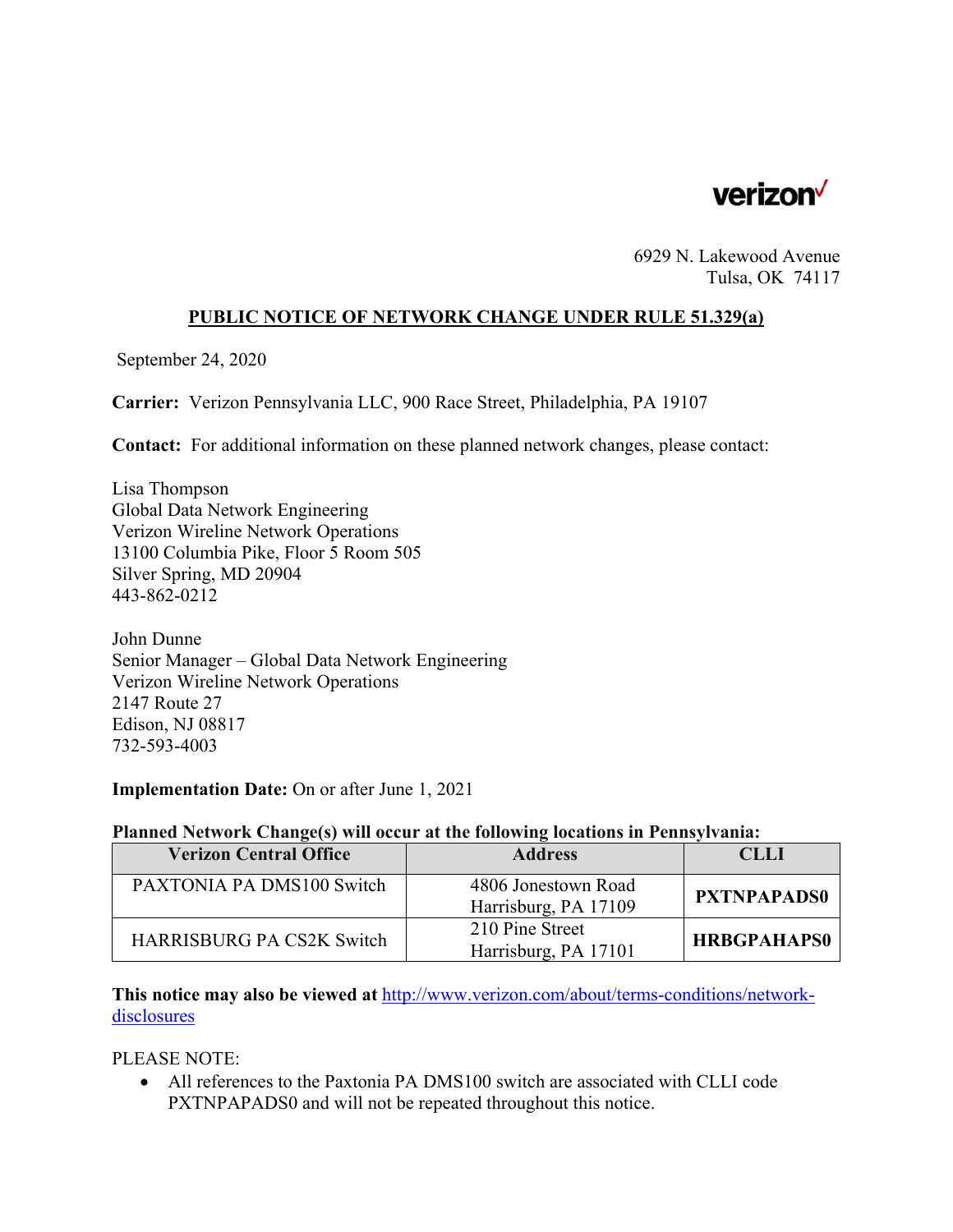

6929 N. Lakewood Avenue Tulsa, OK 74117

## **PUBLIC NOTICE OF NETWORK CHANGE UNDER RULE 51.329(a)**

September 24, 2020

**Carrier:** Verizon Pennsylvania LLC, 900 Race Street, Philadelphia, PA 19107

**Contact:** For additional information on these planned network changes, please contact:

Lisa Thompson Global Data Network Engineering Verizon Wireline Network Operations 13100 Columbia Pike, Floor 5 Room 505 Silver Spring, MD 20904 443-862-0212

John Dunne Senior Manager – Global Data Network Engineering Verizon Wireline Network Operations 2147 Route 27 Edison, NJ 08817 732-593-4003

**Implementation Date:** On or after June 1, 2021

## **Planned Network Change(s) will occur at the following locations in Pennsylvania:**

| <b>Verizon Central Office</b>    | <b>Address</b>                              | CLLI               |
|----------------------------------|---------------------------------------------|--------------------|
| PAXTONIA PA DMS100 Switch        | 4806 Jonestown Road<br>Harrisburg, PA 17109 | <b>PXTNPAPADS0</b> |
| <b>HARRISBURG PA CS2K Switch</b> | 210 Pine Street<br>Harrisburg, PA 17101     | <b>HRBGPAHAPS0</b> |

**This notice may also be viewed at** http://www.verizon.com/about/terms-conditions/networkdisclosures

PLEASE NOTE:

 All references to the Paxtonia PA DMS100 switch are associated with CLLI code PXTNPAPADS0 and will not be repeated throughout this notice.